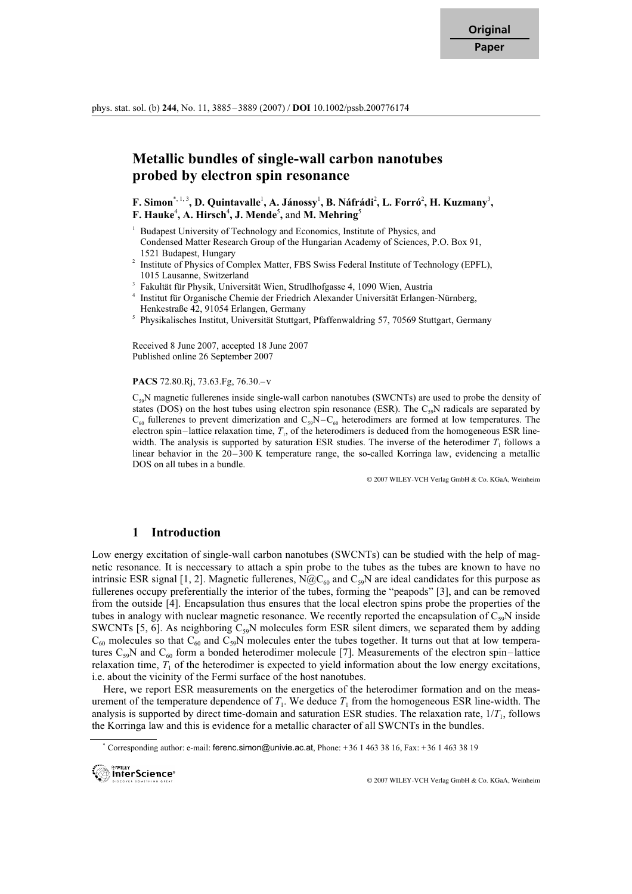# Metallic bundles of single-wall carbon nanotubes probed by electron spin resonance

## F. Simon\*, 1, 3, D. Quintavalle<sup>1</sup>, A. Jánossy<sup>1</sup>, B. Náfrádi<sup>2</sup>, L. Forró<sup>2</sup>, H. Kuzmany<sup>3</sup>, F. Hauke<sup>4</sup>, A. Hirsch<sup>4</sup>, J. Mende<sup>5</sup>, and M. Mehring<sup>5</sup>

- 1 Budapest University of Technology and Economics, Institute of Physics, and Condensed Matter Research Group of the Hungarian Academy of Sciences, P.O. Box 91, 1521 Budapest, Hungary <sup>2</sup>
- Institute of Physics of Complex Matter, FBS Swiss Federal Institute of Technology (EPFL), 1015 Lausanne, Switzerland <sup>3</sup>
- Fakultät für Physik, Universität Wien, Strudlhofgasse 4, 1090 Wien, Austria <sup>4</sup>
- Institut für Organische Chemie der Friedrich Alexander Universität Erlangen-Nürnberg, Henkestraße 42, 91054 Erlangen, Germany <sup>5</sup>
- <sup>5</sup> Physikalisches Institut, Universität Stuttgart, Pfaffenwaldring 57, 70569 Stuttgart, Germany

Received 8 June 2007, accepted 18 June 2007 Published online 26 September 2007

## PACS 72.80.Rj, 73.63.Fg, 76.30.–v

 $C_{59}$ N magnetic fullerenes inside single-wall carbon nanotubes (SWCNTs) are used to probe the density of states (DOS) on the host tubes using electron spin resonance (ESR). The  $C_{59}N$  radicals are separated by  $C_{60}$  fullerenes to prevent dimerization and  $C_{59}N-C_{60}$  heterodimers are formed at low temperatures. The electron spin–lattice relaxation time,  $T_1$ , of the heterodimers is deduced from the homogeneous ESR linewidth. The analysis is supported by saturation ESR studies. The inverse of the heterodimer  $T_1$  follows a linear behavior in the 20–300 K temperature range, the so-called Korringa law, evidencing a metallic DOS on all tubes in a bundle.

© 2007 WILEY-VCH Verlag GmbH & Co. KGaA, Weinheim

## 1 Introduction

Low energy excitation of single-wall carbon nanotubes (SWCNTs) can be studied with the help of magnetic resonance. It is neccessary to attach a spin probe to the tubes as the tubes are known to have no intrinsic ESR signal [1, 2]. Magnetic fullerenes,  $N@C_{60}$  and  $C_{59}N$  are ideal candidates for this purpose as fullerenes occupy preferentially the interior of the tubes, forming the "peapods" [3], and can be removed from the outside [4]. Encapsulation thus ensures that the local electron spins probe the properties of the tubes in analogy with nuclear magnetic resonance. We recently reported the encapsulation of  $C_{59}N$  inside SWCNTs [5, 6]. As neighboring  $C_{59}N$  molecules form ESR silent dimers, we separated them by adding  $C_{60}$  molecules so that  $C_{60}$  and  $C_{59}N$  molecules enter the tubes together. It turns out that at low temperatures  $C_{59}N$  and  $C_{60}$  form a bonded heterodimer molecule [7]. Measurements of the electron spin–lattice relaxation time,  $T_1$  of the heterodimer is expected to yield information about the low energy excitations, i.e. about the vicinity of the Fermi surface of the host nanotubes.

 Here, we report ESR measurements on the energetics of the heterodimer formation and on the measurement of the temperature dependence of  $T_1$ . We deduce  $T_1$  from the homogeneous ESR line-width. The analysis is supported by direct time-domain and saturation ESR studies. The relaxation rate,  $1/T<sub>1</sub>$ , follows the Korringa law and this is evidence for a metallic character of all SWCNTs in the bundles.

<sup>\*</sup> Corresponding author: e-mail: ferenc.simon@univie.ac.at, Phone: +36 1 463 38 16, Fax: +36 1 463 38 19

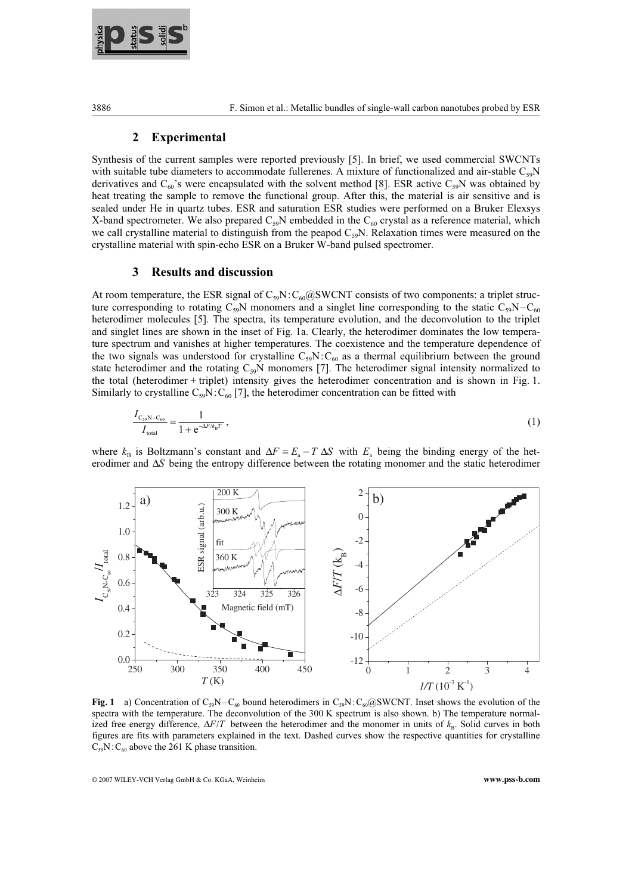

## 2 Experimental

Synthesis of the current samples were reported previously [5]. In brief, we used commercial SWCNTs with suitable tube diameters to accommodate fullerenes. A mixture of functionalized and air-stable  $C_{59}N$ derivatives and  $C_{60}$ 's were encapsulated with the solvent method [8]. ESR active  $C_{50}N$  was obtained by heat treating the sample to remove the functional group. After this, the material is air sensitive and is sealed under He in quartz tubes. ESR and saturation ESR studies were performed on a Bruker Elexsys X-band spectrometer. We also prepared  $C_{59}N$  embedded in the  $C_{60}$  crystal as a reference material, which we call crystalline material to distinguish from the peapod  $C_{59}N$ . Relaxation times were measured on the crystalline material with spin-echo ESR on a Bruker W-band pulsed spectromer.

### 3 Results and discussion

At room temperature, the ESR signal of  $C_{59}N$ :  $C_{60}@SWCNT$  consists of two components: a triplet structure corresponding to rotating  $C_{59}N$  monomers and a singlet line corresponding to the static  $C_{59}N-C_{60}$ heterodimer molecules [5]. The spectra, its temperature evolution, and the deconvolution to the triplet and singlet lines are shown in the inset of Fig. 1a. Clearly, the heterodimer dominates the low temperature spectrum and vanishes at higher temperatures. The coexistence and the temperature dependence of the two signals was understood for crystalline  $C_{50}N:C_{60}$  as a thermal equilibrium between the ground state heterodimer and the rotating  $C_{59}N$  monomers [7]. The heterodimer signal intensity normalized to the total (heterodimer + triplet) intensity gives the heterodimer concentration and is shown in Fig. 1. Similarly to crystalline  $C_{59}N:C_{60}$  [7], the heterodimer concentration can be fitted with

$$
\frac{I_{\text{C}_{59}\text{N} - \text{C}_{60}}}{I_{\text{total}}} = \frac{1}{1 + e^{-\Delta F/k_{\text{B}}T}}\,,\tag{1}
$$

where  $k_B$  is Boltzmann's constant and  $\Delta F = E_a - T \Delta S$  with  $E_a$  being the binding energy of the heterodimer and *DS* being the entropy difference between the rotating monomer and the static heterodimer



Fig. 1 a) Concentration of C<sub>59</sub>N–C<sub>60</sub> bound heterodimers in C<sub>59</sub>N:C<sub>60</sub>@SWCNT. Inset shows the evolution of the spectra with the temperature. The deconvolution of the 300 K spectrum is also shown. b) The temperature normalized free energy difference,  $\Delta F/T$  between the heterodimer and the monomer in units of  $k_B$ . Solid curves in both figures are fits with parameters explained in the text. Dashed curves show the respective quantities for crystalline  $C_{59}N:C_{60}$  above the 261 K phase transition.

© 2007 WILEY-VCH Verlag GmbH & Co. KGaA, Weinheim **www.pss-b.com**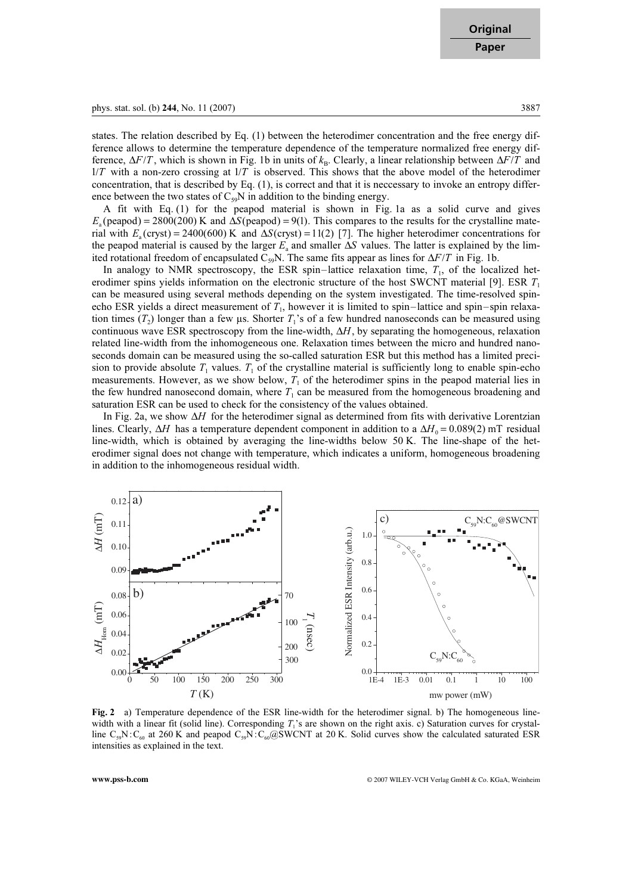**Original Paper**

states. The relation described by Eq. (1) between the heterodimer concentration and the free energy difference allows to determine the temperature dependence of the temperature normalized free energy difference,  $\Delta F/T$ , which is shown in Fig. 1b in units of  $k_B$ . Clearly, a linear relationship between  $\Delta F/T$  and  $1/T$  with a non-zero crossing at  $1/T$  is observed. This shows that the above model of the heterodimer concentration, that is described by Eq. (1), is correct and that it is neccessary to invoke an entropy difference between the two states of  $C_{59}N$  in addition to the binding energy.

 A fit with Eq. (1) for the peapod material is shown in Fig. 1a as a solid curve and gives  $E_a$ (peapod) = 2800(200) K and  $\Delta S$ (peapod) = 9(1). This compares to the results for the crystalline material with  $E_a$  (cryst) = 2400(600) K and  $\Delta S$  (cryst) = 11(2) [7]. The higher heterodimer concentrations for the peapod material is caused by the larger  $E_a$  and smaller  $\Delta S$  values. The latter is explained by the limited rotational freedom of encapsulated  $C_{59}N$ . The same fits appear as lines for  $\Delta F/T$  in Fig. 1b.

In analogy to NMR spectroscopy, the ESR spin–lattice relaxation time,  $T_1$ , of the localized heterodimer spins yields information on the electronic structure of the host SWCNT material [9]. ESR  $T_1$ can be measured using several methods depending on the system investigated. The time-resolved spinecho ESR yields a direct measurement of  $T_1$ , however it is limited to spin–lattice and spin–spin relaxation times  $(T_2)$  longer than a few µs. Shorter  $T_1$ 's of a few hundred nanoseconds can be measured using continuous wave ESR spectroscopy from the line-width,  $\Delta H$ , by separating the homogeneous, relaxation related line-width from the inhomogeneous one. Relaxation times between the micro and hundred nanoseconds domain can be measured using the so-called saturation ESR but this method has a limited precision to provide absolute  $T_1$  values.  $T_1$  of the crystalline material is sufficiently long to enable spin-echo measurements. However, as we show below,  $T_1$  of the heterodimer spins in the peapod material lies in the few hundred nanosecond domain, where  $T_1$  can be measured from the homogeneous broadening and saturation ESR can be used to check for the consistency of the values obtained.

In Fig. 2a, we show  $\Delta H$  for the heterodimer signal as determined from fits with derivative Lorentzian lines. Clearly,  $\Delta H$  has a temperature dependent component in addition to a  $\Delta H_0 = 0.089(2)$  mT residual line-width, which is obtained by averaging the line-widths below 50 K. The line-shape of the heterodimer signal does not change with temperature, which indicates a uniform, homogeneous broadening in addition to the inhomogeneous residual width.



Fig. 2 a) Temperature dependence of the ESR line-width for the heterodimer signal. b) The homogeneous linewidth with a linear fit (solid line). Corresponding  $T_1$ 's are shown on the right axis. c) Saturation curves for crystalline  $C_{59}N:C_{60}$  at 260 K and peapod  $C_{59}N:C_{60}QSWCNT$  at 20 K. Solid curves show the calculated saturated ESR intensities as explained in the text.

**www.pss-b.com** © 2007 WILEY-VCH Verlag GmbH & Co. KGaA, Weinheim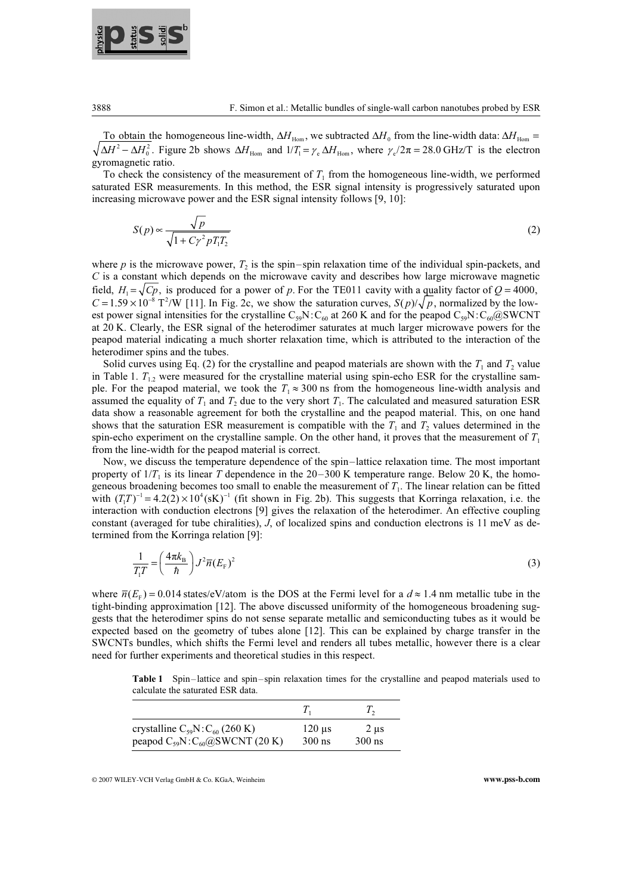

To obtain the homogeneous line-width,  $\Delta H_{\text{Hom}}$ , we subtracted  $\Delta H_0$  from the line-width data:  $\Delta H_{\text{Hom}}$  =  $\Delta H^2 - \Delta H_0^2$ . Figure 2b shows  $\Delta H_{\text{Hom}}$  and  $1/T_1 = \gamma_e \Delta H_{\text{Hom}}$ , where  $\gamma_e/2\pi = 28.0 \text{ GHz/T}$  is the electron gyromagnetic ratio.

To check the consistency of the measurement of  $T_1$  from the homogeneous line-width, we performed saturated ESR measurements. In this method, the ESR signal intensity is progressively saturated upon increasing microwave power and the ESR signal intensity follows [9, 10]:

$$
S(p) \propto \frac{\sqrt{p}}{\sqrt{1 + C\gamma^2 p T_1 T_2}}\tag{2}
$$

where p is the microwave power,  $T_2$  is the spin–spin relaxation time of the individual spin-packets, and  $C$  is a constant which depends on the microwave cavity and describes how large microwave magnetic field,  $H_1 = \sqrt{Cp}$ , is produced for a power of p. For the TE011 cavity with a quality factor of  $Q = 4000$ ,  $C = 1.59 \times 10^{-8}$  T<sup>2</sup>/W [11]. In Fig. 2c, we show the saturation curves,  $S(p)/\sqrt{p}$ , normalized by the lowest power signal intensities for the crystalline C<sub>59</sub>N:C<sub>60</sub> at 260 K and for the peapod C<sub>59</sub>N:C<sub>60</sub>@SWCNT at 20 K. Clearly, the ESR signal of the heterodimer saturates at much larger microwave powers for the peapod material indicating a much shorter relaxation time, which is attributed to the interaction of the heterodimer spins and the tubes.

Solid curves using Eq. (2) for the crystalline and peapod materials are shown with the  $T_1$  and  $T_2$  value in Table 1.  $T_{1,2}$  were measured for the crystalline material using spin-echo ESR for the crystalline sample. For the peapod material, we took the  $T_1 \approx 300$  ns from the homogeneous line-width analysis and assumed the equality of  $T_1$  and  $T_2$  due to the very short  $T_1$ . The calculated and measured saturation ESR data show a reasonable agreement for both the crystalline and the peapod material. This, on one hand shows that the saturation ESR measurement is compatible with the  $T_1$  and  $T_2$  values determined in the spin-echo experiment on the crystalline sample. On the other hand, it proves that the measurement of  $T_1$ from the line-width for the peapod material is correct.

 Now, we discuss the temperature dependence of the spin–lattice relaxation time. The most important property of  $1/T_1$  is its linear T dependence in the 20–300 K temperature range. Below 20 K, the homogeneous broadening becomes too small to enable the measurement of  $T_1$ . The linear relation can be fitted property of  $1/T_1$  is its linear T dependence in the 20–300 K temperature range. Below 20 K, the homogeneous broadening becomes too small to enable the measurement of  $T_1$ . The linear relation can be fitted with  $(T_1T)^{-1$ interaction with conduction electrons [9] gives the relaxation of the heterodimer. An effective coupling constant (averaged for tube chiralities), J, of localized spins and conduction electrons is 11 meV as determined from the Korringa relation [9]:

$$
\frac{1}{T_1 T} = \left(\frac{4\pi k_B}{\hbar}\right) J^2 \overline{n} (E_F)^2
$$
\n(3)

where  $\bar{n}(E_{\rm F}) = 0.014$  states/eV/atom is the DOS at the Fermi level for a  $d \approx 1.4$  nm metallic tube in the tight-binding approximation [12]. The above discussed uniformity of the homogeneous broadening suggests that the heterodimer spins do not sense separate metallic and semiconducting tubes as it would be expected based on the geometry of tubes alone [12]. This can be explained by charge transfer in the SWCNTs bundles, which shifts the Fermi level and renders all tubes metallic, however there is a clear need for further experiments and theoretical studies in this respect.

Table 1 Spin–lattice and spin–spin relaxation times for the crystalline and peapod materials used to calculate the saturated ESR data.

|                                           |                           | Τ,        |
|-------------------------------------------|---------------------------|-----------|
| crystalline $C_{59}N$ : $C_{60}$ (260 K)  | $120 \text{ }\mu\text{s}$ | $2 \mu s$ |
| peapod $C_{59}N$ : $C_{60}$ @SWCNT (20 K) | $300$ ns                  | $300$ ns  |

© 2007 WILEY-VCH Verlag GmbH & Co. KGaA, Weinheim **www.pss-b.com**